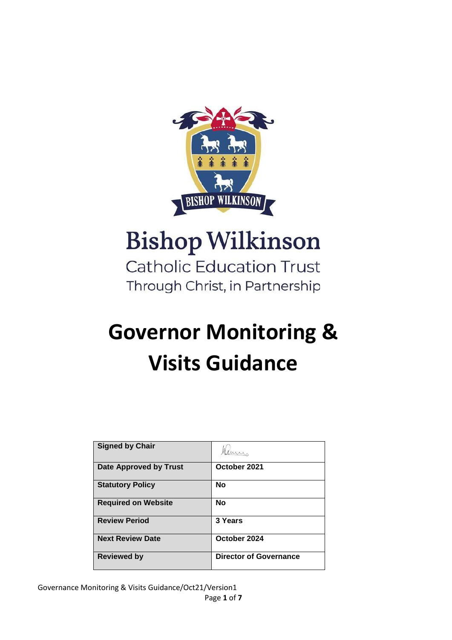

# **Bishop Wilkinson**

**Catholic Education Trust** Through Christ, in Partnership

## **Governor Monitoring & Visits Guidance**

| <b>Signed by Chair</b>        |                               |
|-------------------------------|-------------------------------|
| <b>Date Approved by Trust</b> | October 2021                  |
| <b>Statutory Policy</b>       | <b>No</b>                     |
| <b>Required on Website</b>    | <b>No</b>                     |
| <b>Review Period</b>          | 3 Years                       |
| <b>Next Review Date</b>       | October 2024                  |
| <b>Reviewed by</b>            | <b>Director of Governance</b> |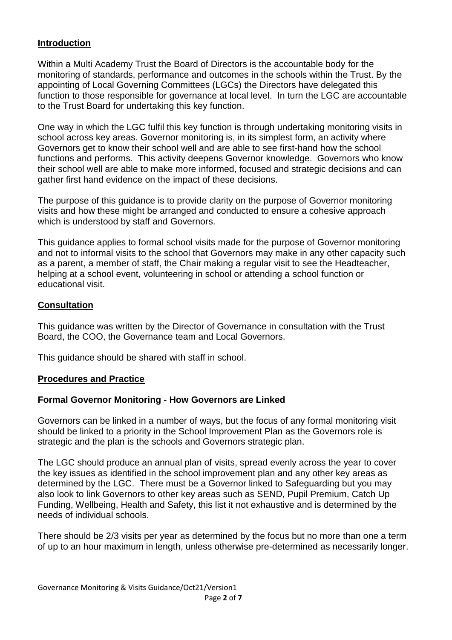### **Introduction**

Within a Multi Academy Trust the Board of Directors is the accountable body for the monitoring of standards, performance and outcomes in the schools within the Trust. By the appointing of Local Governing Committees (LGCs) the Directors have delegated this function to those responsible for governance at local level. In turn the LGC are accountable to the Trust Board for undertaking this key function.

One way in which the LGC fulfil this key function is through undertaking monitoring visits in school across key areas. Governor monitoring is, in its simplest form, an activity where Governors get to know their school well and are able to see first-hand how the school functions and performs. This activity deepens Governor knowledge. Governors who know their school well are able to make more informed, focused and strategic decisions and can gather first hand evidence on the impact of these decisions.

The purpose of this guidance is to provide clarity on the purpose of Governor monitoring visits and how these might be arranged and conducted to ensure a cohesive approach which is understood by staff and Governors.

This guidance applies to formal school visits made for the purpose of Governor monitoring and not to informal visits to the school that Governors may make in any other capacity such as a parent, a member of staff, the Chair making a regular visit to see the Headteacher, helping at a school event, volunteering in school or attending a school function or educational visit.

#### **Consultation**

This guidance was written by the Director of Governance in consultation with the Trust Board, the COO, the Governance team and Local Governors.

This guidance should be shared with staff in school.

#### **Procedures and Practice**

#### **Formal Governor Monitoring - How Governors are Linked**

Governors can be linked in a number of ways, but the focus of any formal monitoring visit should be linked to a priority in the School Improvement Plan as the Governors role is strategic and the plan is the schools and Governors strategic plan.

The LGC should produce an annual plan of visits, spread evenly across the year to cover the key issues as identified in the school improvement plan and any other key areas as determined by the LGC. There must be a Governor linked to Safeguarding but you may also look to link Governors to other key areas such as SEND, Pupil Premium, Catch Up Funding, Wellbeing, Health and Safety, this list it not exhaustive and is determined by the needs of individual schools.

There should be 2/3 visits per year as determined by the focus but no more than one a term of up to an hour maximum in length, unless otherwise pre-determined as necessarily longer.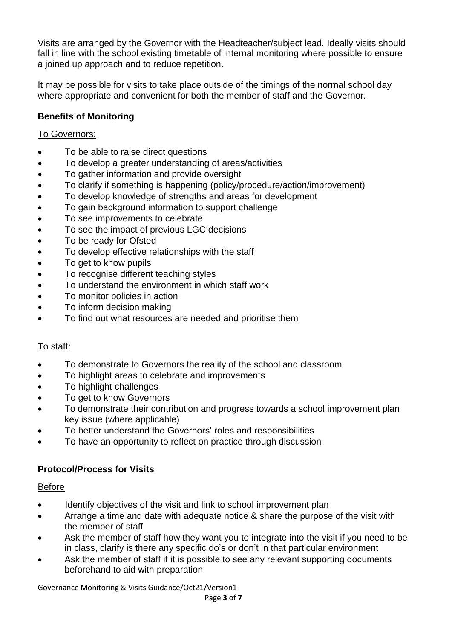Visits are arranged by the Governor with the Headteacher/subject lead*.* Ideally visits should fall in line with the school existing timetable of internal monitoring where possible to ensure a joined up approach and to reduce repetition.

It may be possible for visits to take place outside of the timings of the normal school day where appropriate and convenient for both the member of staff and the Governor.

## **Benefits of Monitoring**

#### To Governors:

- To be able to raise direct questions
- To develop a greater understanding of areas/activities
- To gather information and provide oversight
- To clarify if something is happening (policy/procedure/action/improvement)
- To develop knowledge of strengths and areas for development
- To gain background information to support challenge
- To see improvements to celebrate
- To see the impact of previous LGC decisions
- To be ready for Ofsted
- To develop effective relationships with the staff
- To get to know pupils
- To recognise different teaching styles
- To understand the environment in which staff work
- To monitor policies in action
- To inform decision making
- To find out what resources are needed and prioritise them

### To staff:

- To demonstrate to Governors the reality of the school and classroom
- To highlight areas to celebrate and improvements
- To highlight challenges
- To get to know Governors
- To demonstrate their contribution and progress towards a school improvement plan key issue (where applicable)
- To better understand the Governors' roles and responsibilities
- To have an opportunity to reflect on practice through discussion

## **Protocol/Process for Visits**

### Before

- Identify objectives of the visit and link to school improvement plan
- Arrange a time and date with adequate notice & share the purpose of the visit with the member of staff
- Ask the member of staff how they want you to integrate into the visit if you need to be in class, clarify is there any specific do's or don't in that particular environment
- Ask the member of staff if it is possible to see any relevant supporting documents beforehand to aid with preparation

Governance Monitoring & Visits Guidance/Oct21/Version1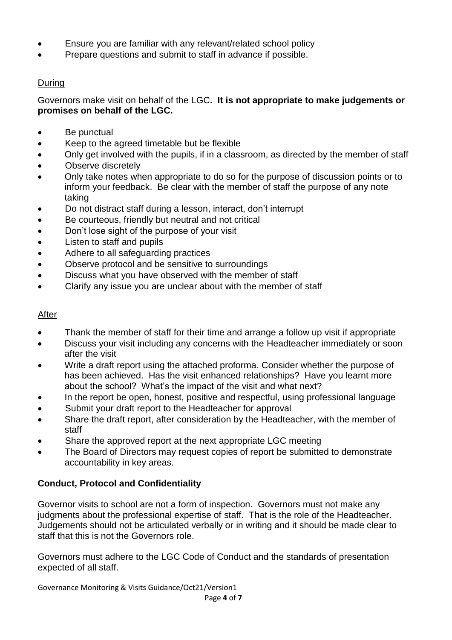- Ensure you are familiar with any relevant/related school policy
- Prepare questions and submit to staff in advance if possible.

## During

Governors make visit on behalf of the LGC**. It is not appropriate to make judgements or promises on behalf of the LGC.**

- Be punctual
- Keep to the agreed timetable but be flexible
- Only get involved with the pupils, if in a classroom, as directed by the member of staff
- Observe discretely
- Only take notes when appropriate to do so for the purpose of discussion points or to inform your feedback. Be clear with the member of staff the purpose of any note taking
- Do not distract staff during a lesson, interact, don't interrupt
- Be courteous, friendly but neutral and not critical
- Don't lose sight of the purpose of your visit
- Listen to staff and pupils
- Adhere to all safeguarding practices
- Observe protocol and be sensitive to surroundings
- Discuss what you have observed with the member of staff
- Clarify any issue you are unclear about with the member of staff

### After

- Thank the member of staff for their time and arrange a follow up visit if appropriate
- Discuss your visit including any concerns with the Headteacher immediately or soon after the visit
- Write a draft report using the attached proforma. Consider whether the purpose of has been achieved. Has the visit enhanced relationships? Have you learnt more about the school? What's the impact of the visit and what next?
- In the report be open, honest, positive and respectful, using professional language
- Submit your draft report to the Headteacher for approval
- Share the draft report, after consideration by the Headteacher, with the member of staff
- Share the approved report at the next appropriate LGC meeting
- The Board of Directors may request copies of report be submitted to demonstrate accountability in key areas.

## **Conduct, Protocol and Confidentiality**

Governor visits to school are not a form of inspection. Governors must not make any judgments about the professional expertise of staff. That is the role of the Headteacher. Judgements should not be articulated verbally or in writing and it should be made clear to staff that this is not the Governors role.

Governors must adhere to the LGC Code of Conduct and the standards of presentation expected of all staff.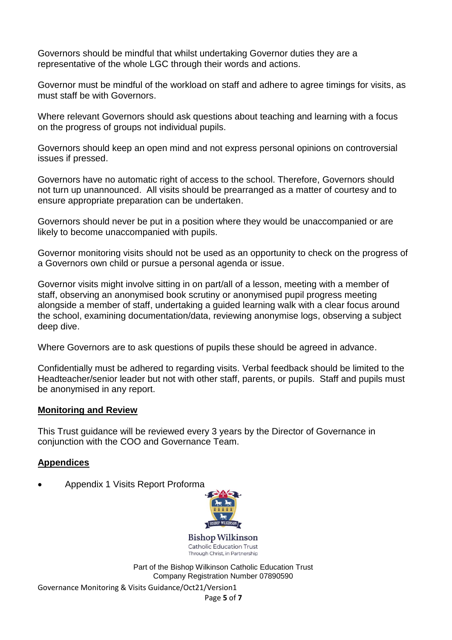Governors should be mindful that whilst undertaking Governor duties they are a representative of the whole LGC through their words and actions.

Governor must be mindful of the workload on staff and adhere to agree timings for visits, as must staff be with Governors.

Where relevant Governors should ask questions about teaching and learning with a focus on the progress of groups not individual pupils.

Governors should keep an open mind and not express personal opinions on controversial issues if pressed.

Governors have no automatic right of access to the school. Therefore, Governors should not turn up unannounced. All visits should be prearranged as a matter of courtesy and to ensure appropriate preparation can be undertaken.

Governors should never be put in a position where they would be unaccompanied or are likely to become unaccompanied with pupils.

Governor monitoring visits should not be used as an opportunity to check on the progress of a Governors own child or pursue a personal agenda or issue.

Governor visits might involve sitting in on part/all of a lesson, meeting with a member of staff, observing an anonymised book scrutiny or anonymised pupil progress meeting alongside a member of staff, undertaking a guided learning walk with a clear focus around the school, examining documentation/data, reviewing anonymise logs, observing a subject deep dive.

Where Governors are to ask questions of pupils these should be agreed in advance.

Confidentially must be adhered to regarding visits. Verbal feedback should be limited to the Headteacher/senior leader but not with other staff, parents, or pupils. Staff and pupils must be anonymised in any report.

#### **Monitoring and Review**

This Trust guidance will be reviewed every 3 years by the Director of Governance in conjunction with the COO and Governance Team.

#### **Appendices**

Appendix 1 Visits Report Proforma



**Bishop Wilkinson** Catholic Education Trust Through Christ, in Partnership

Part of the Bishop Wilkinson Catholic Education Trust Company Registration Number 07890590

Governance Monitoring & Visits Guidance/Oct21/Version1

Page **5** of **7**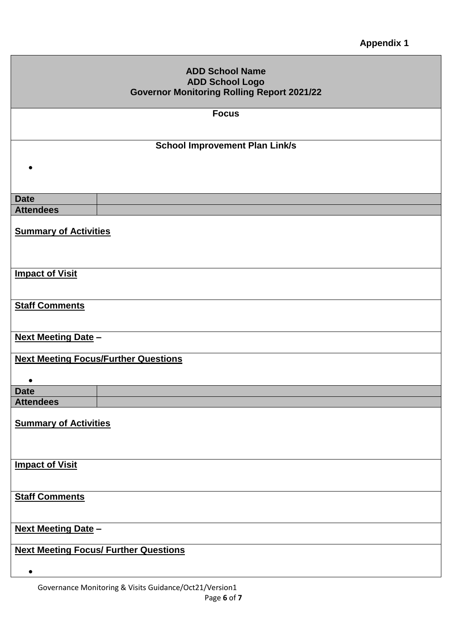| <b>ADD School Name</b><br><b>ADD School Logo</b>  |  |
|---------------------------------------------------|--|
| <b>Governor Monitoring Rolling Report 2021/22</b> |  |
| <b>Focus</b>                                      |  |
| <b>School Improvement Plan Link/s</b>             |  |
|                                                   |  |
| <b>Date</b>                                       |  |
| <b>Attendees</b>                                  |  |
| <b>Summary of Activities</b>                      |  |
| <b>Impact of Visit</b>                            |  |
| <b>Staff Comments</b>                             |  |
| <b>Next Meeting Date -</b>                        |  |
| <b>Next Meeting Focus/Further Questions</b>       |  |
| <b>Date</b>                                       |  |
| <b>Attendees</b>                                  |  |
| <b>Summary of Activities</b>                      |  |
| <b>Impact of Visit</b>                            |  |
| <b>Staff Comments</b>                             |  |
| <b>Next Meeting Date -</b>                        |  |
| <b>Next Meeting Focus/ Further Questions</b>      |  |
| $\bullet$                                         |  |